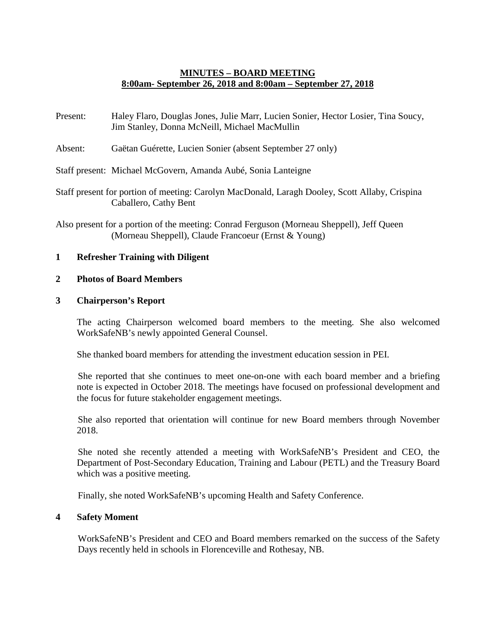# **MINUTES – BOARD MEETING 8:00am- September 26, 2018 and 8:00am – September 27, 2018**

- Present: Haley Flaro, Douglas Jones, Julie Marr, Lucien Sonier, Hector Losier, Tina Soucy, Jim Stanley, Donna McNeill, Michael MacMullin
- Absent: Gaëtan Guérette, Lucien Sonier (absent September 27 only)

Staff present: Michael McGovern, Amanda Aubé, Sonia Lanteigne

- Staff present for portion of meeting: Carolyn MacDonald, Laragh Dooley, Scott Allaby, Crispina Caballero, Cathy Bent
- Also present for a portion of the meeting: Conrad Ferguson (Morneau Sheppell), Jeff Queen (Morneau Sheppell), Claude Francoeur (Ernst & Young)

## **1 Refresher Training with Diligent**

## **2 Photos of Board Members**

## **3 Chairperson's Report**

The acting Chairperson welcomed board members to the meeting. She also welcomed WorkSafeNB's newly appointed General Counsel.

She thanked board members for attending the investment education session in PEI.

She reported that she continues to meet one-on-one with each board member and a briefing note is expected in October 2018. The meetings have focused on professional development and the focus for future stakeholder engagement meetings.

She also reported that orientation will continue for new Board members through November 2018.

She noted she recently attended a meeting with WorkSafeNB's President and CEO, the Department of Post-Secondary Education, Training and Labour (PETL) and the Treasury Board which was a positive meeting.

Finally, she noted WorkSafeNB's upcoming Health and Safety Conference.

### **4 Safety Moment**

WorkSafeNB's President and CEO and Board members remarked on the success of the Safety Days recently held in schools in Florenceville and Rothesay, NB.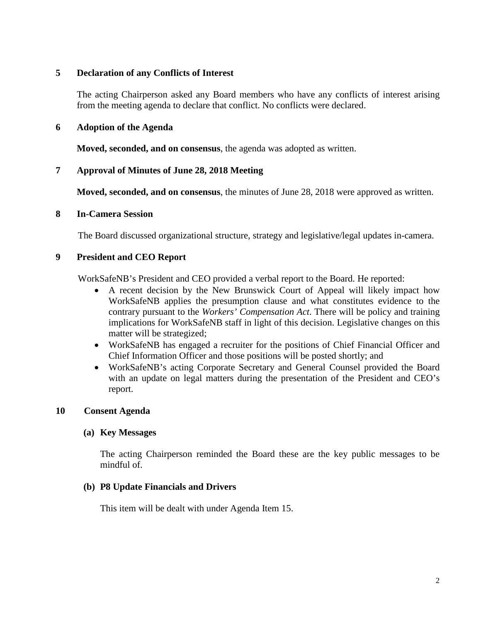## **5 Declaration of any Conflicts of Interest**

The acting Chairperson asked any Board members who have any conflicts of interest arising from the meeting agenda to declare that conflict. No conflicts were declared.

## **6 Adoption of the Agenda**

**Moved, seconded, and on consensus**, the agenda was adopted as written.

# **7 Approval of Minutes of June 28, 2018 Meeting**

**Moved, seconded, and on consensus**, the minutes of June 28, 2018 were approved as written.

### **8 In-Camera Session**

The Board discussed organizational structure, strategy and legislative/legal updates in-camera.

## **9 President and CEO Report**

WorkSafeNB's President and CEO provided a verbal report to the Board. He reported:

- A recent decision by the New Brunswick Court of Appeal will likely impact how WorkSafeNB applies the presumption clause and what constitutes evidence to the contrary pursuant to the *Workers' Compensation Act*. There will be policy and training implications for WorkSafeNB staff in light of this decision. Legislative changes on this matter will be strategized;
- WorkSafeNB has engaged a recruiter for the positions of Chief Financial Officer and Chief Information Officer and those positions will be posted shortly; and
- WorkSafeNB's acting Corporate Secretary and General Counsel provided the Board with an update on legal matters during the presentation of the President and CEO's report.

### **10 Consent Agenda**

### **(a) Key Messages**

The acting Chairperson reminded the Board these are the key public messages to be mindful of.

### **(b) P8 Update Financials and Drivers**

This item will be dealt with under Agenda Item 15.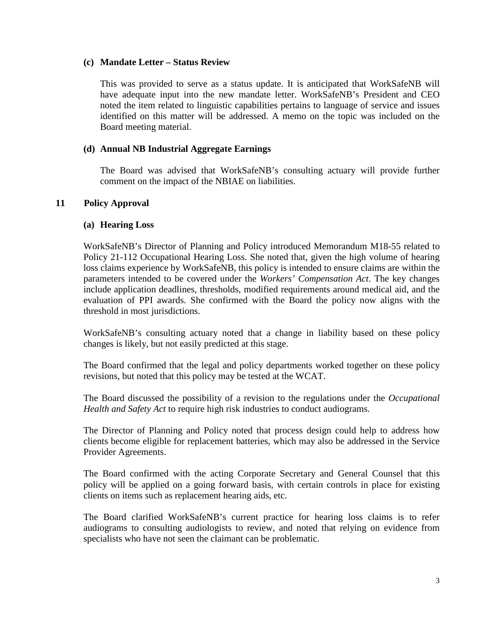### **(c) Mandate Letter – Status Review**

This was provided to serve as a status update. It is anticipated that WorkSafeNB will have adequate input into the new mandate letter. WorkSafeNB's President and CEO noted the item related to linguistic capabilities pertains to language of service and issues identified on this matter will be addressed. A memo on the topic was included on the Board meeting material.

## **(d) Annual NB Industrial Aggregate Earnings**

The Board was advised that WorkSafeNB's consulting actuary will provide further comment on the impact of the NBIAE on liabilities.

# **11 Policy Approval**

## **(a) Hearing Loss**

WorkSafeNB's Director of Planning and Policy introduced Memorandum M18-55 related to Policy 21-112 Occupational Hearing Loss. She noted that, given the high volume of hearing loss claims experience by WorkSafeNB, this policy is intended to ensure claims are within the parameters intended to be covered under the *Workers' Compensation Act*. The key changes include application deadlines, thresholds, modified requirements around medical aid, and the evaluation of PPI awards. She confirmed with the Board the policy now aligns with the threshold in most jurisdictions.

WorkSafeNB's consulting actuary noted that a change in liability based on these policy changes is likely, but not easily predicted at this stage.

The Board confirmed that the legal and policy departments worked together on these policy revisions, but noted that this policy may be tested at the WCAT.

The Board discussed the possibility of a revision to the regulations under the *Occupational Health and Safety Act* to require high risk industries to conduct audiograms.

The Director of Planning and Policy noted that process design could help to address how clients become eligible for replacement batteries, which may also be addressed in the Service Provider Agreements.

The Board confirmed with the acting Corporate Secretary and General Counsel that this policy will be applied on a going forward basis, with certain controls in place for existing clients on items such as replacement hearing aids, etc.

The Board clarified WorkSafeNB's current practice for hearing loss claims is to refer audiograms to consulting audiologists to review, and noted that relying on evidence from specialists who have not seen the claimant can be problematic.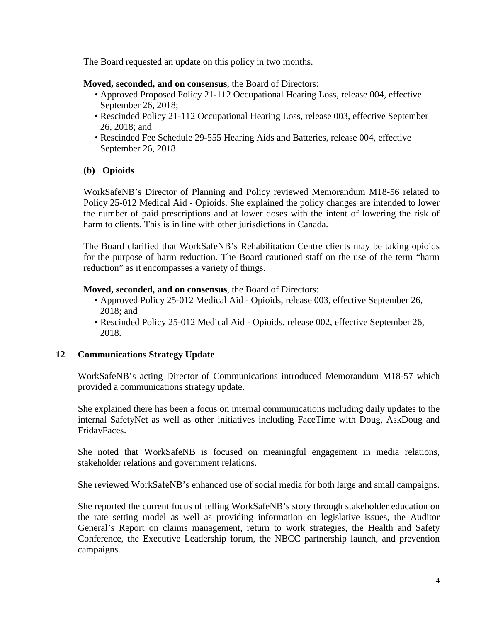The Board requested an update on this policy in two months.

## **Moved, seconded, and on consensus**, the Board of Directors:

- Approved Proposed Policy 21-112 Occupational Hearing Loss, release 004, effective September 26, 2018;
- Rescinded Policy 21-112 Occupational Hearing Loss, release 003, effective September 26, 2018; and
- Rescinded Fee Schedule 29-555 Hearing Aids and Batteries, release 004, effective September 26, 2018.

# **(b) Opioids**

WorkSafeNB's Director of Planning and Policy reviewed Memorandum M18-56 related to Policy 25-012 Medical Aid - Opioids. She explained the policy changes are intended to lower the number of paid prescriptions and at lower doses with the intent of lowering the risk of harm to clients. This is in line with other jurisdictions in Canada.

The Board clarified that WorkSafeNB's Rehabilitation Centre clients may be taking opioids for the purpose of harm reduction. The Board cautioned staff on the use of the term "harm reduction" as it encompasses a variety of things.

# **Moved, seconded, and on consensus**, the Board of Directors:

- Approved Policy 25-012 Medical Aid Opioids, release 003, effective September 26, 2018; and
- Rescinded Policy 25-012 Medical Aid Opioids, release 002, effective September 26, 2018.

# **12 Communications Strategy Update**

WorkSafeNB's acting Director of Communications introduced Memorandum M18-57 which provided a communications strategy update.

She explained there has been a focus on internal communications including daily updates to the internal SafetyNet as well as other initiatives including FaceTime with Doug, AskDoug and FridayFaces.

She noted that WorkSafeNB is focused on meaningful engagement in media relations, stakeholder relations and government relations.

She reviewed WorkSafeNB's enhanced use of social media for both large and small campaigns.

She reported the current focus of telling WorkSafeNB's story through stakeholder education on the rate setting model as well as providing information on legislative issues, the Auditor General's Report on claims management, return to work strategies, the Health and Safety Conference, the Executive Leadership forum, the NBCC partnership launch, and prevention campaigns.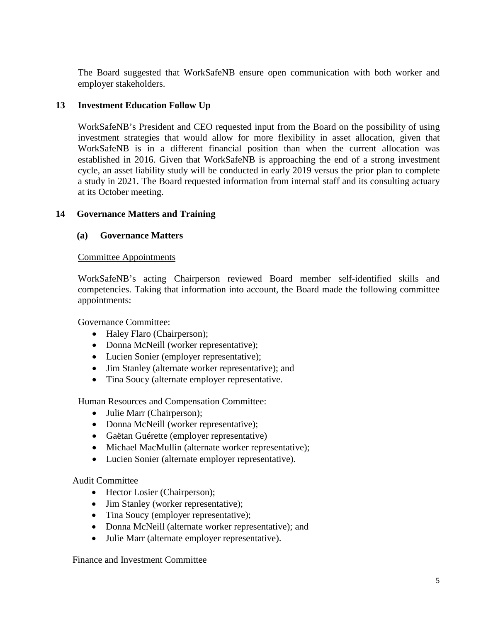The Board suggested that WorkSafeNB ensure open communication with both worker and employer stakeholders.

# **13 Investment Education Follow Up**

WorkSafeNB's President and CEO requested input from the Board on the possibility of using investment strategies that would allow for more flexibility in asset allocation, given that WorkSafeNB is in a different financial position than when the current allocation was established in 2016. Given that WorkSafeNB is approaching the end of a strong investment cycle, an asset liability study will be conducted in early 2019 versus the prior plan to complete a study in 2021. The Board requested information from internal staff and its consulting actuary at its October meeting.

# **14 Governance Matters and Training**

# **(a) Governance Matters**

## Committee Appointments

WorkSafeNB's acting Chairperson reviewed Board member self-identified skills and competencies. Taking that information into account, the Board made the following committee appointments:

Governance Committee:

- Haley Flaro (Chairperson);
- Donna McNeill (worker representative);
- Lucien Sonier (employer representative);
- Jim Stanley (alternate worker representative); and
- Tina Soucy (alternate employer representative.

Human Resources and Compensation Committee:

- Julie Marr (Chairperson);
- Donna McNeill (worker representative);
- Gaëtan Guérette (employer representative)
- Michael MacMullin (alternate worker representative);
- Lucien Sonier (alternate employer representative).

# Audit Committee

- Hector Losier (Chairperson);
- Jim Stanley (worker representative);
- Tina Soucy (employer representative);
- Donna McNeill (alternate worker representative); and
- Julie Marr (alternate employer representative).

Finance and Investment Committee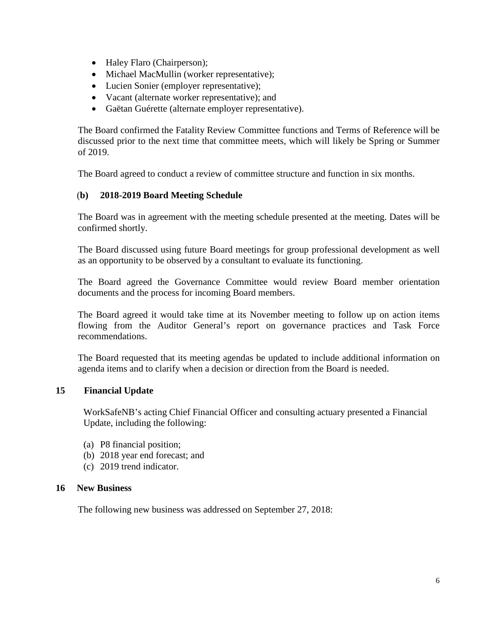- Haley Flaro (Chairperson);
- Michael MacMullin (worker representative);
- Lucien Sonier (employer representative);
- Vacant (alternate worker representative); and
- Gaëtan Guérette (alternate employer representative).

The Board confirmed the Fatality Review Committee functions and Terms of Reference will be discussed prior to the next time that committee meets, which will likely be Spring or Summer of 2019.

The Board agreed to conduct a review of committee structure and function in six months.

# (**b) 2018-2019 Board Meeting Schedule**

The Board was in agreement with the meeting schedule presented at the meeting. Dates will be confirmed shortly.

The Board discussed using future Board meetings for group professional development as well as an opportunity to be observed by a consultant to evaluate its functioning.

The Board agreed the Governance Committee would review Board member orientation documents and the process for incoming Board members.

The Board agreed it would take time at its November meeting to follow up on action items flowing from the Auditor General's report on governance practices and Task Force recommendations.

The Board requested that its meeting agendas be updated to include additional information on agenda items and to clarify when a decision or direction from the Board is needed.

# **15 Financial Update**

WorkSafeNB's acting Chief Financial Officer and consulting actuary presented a Financial Update, including the following:

- (a) P8 financial position;
- (b) 2018 year end forecast; and
- (c) 2019 trend indicator.

# **16 New Business**

The following new business was addressed on September 27, 2018: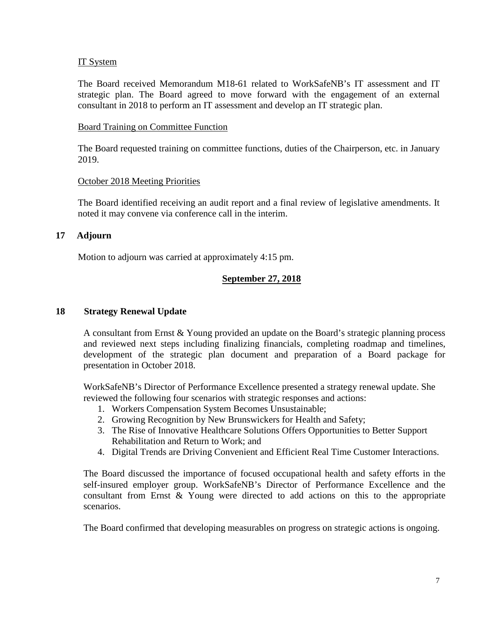## IT System

The Board received Memorandum M18-61 related to WorkSafeNB's IT assessment and IT strategic plan. The Board agreed to move forward with the engagement of an external consultant in 2018 to perform an IT assessment and develop an IT strategic plan.

### Board Training on Committee Function

The Board requested training on committee functions, duties of the Chairperson, etc. in January 2019.

### October 2018 Meeting Priorities

The Board identified receiving an audit report and a final review of legislative amendments. It noted it may convene via conference call in the interim.

# **17 Adjourn**

Motion to adjourn was carried at approximately 4:15 pm.

# **September 27, 2018**

### **18 Strategy Renewal Update**

A consultant from Ernst & Young provided an update on the Board's strategic planning process and reviewed next steps including finalizing financials, completing roadmap and timelines, development of the strategic plan document and preparation of a Board package for presentation in October 2018.

WorkSafeNB's Director of Performance Excellence presented a strategy renewal update. She reviewed the following four scenarios with strategic responses and actions:

- 1. Workers Compensation System Becomes Unsustainable;
- 2. Growing Recognition by New Brunswickers for Health and Safety;
- 3. The Rise of Innovative Healthcare Solutions Offers Opportunities to Better Support Rehabilitation and Return to Work; and
- 4. Digital Trends are Driving Convenient and Efficient Real Time Customer Interactions.

The Board discussed the importance of focused occupational health and safety efforts in the self-insured employer group. WorkSafeNB's Director of Performance Excellence and the consultant from Ernst & Young were directed to add actions on this to the appropriate scenarios.

The Board confirmed that developing measurables on progress on strategic actions is ongoing.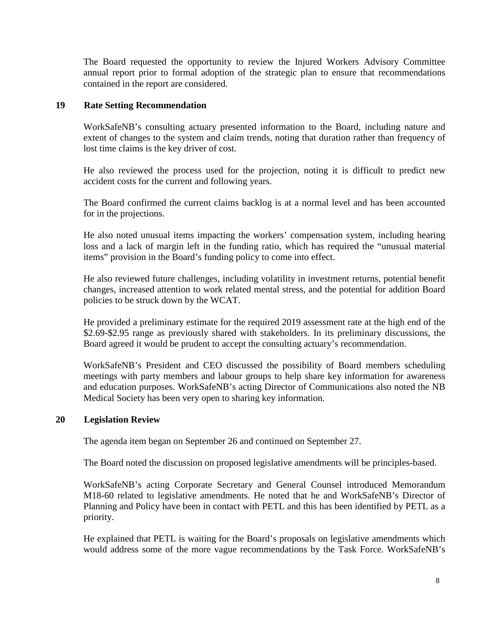The Board requested the opportunity to review the Injured Workers Advisory Committee annual report prior to formal adoption of the strategic plan to ensure that recommendations contained in the report are considered.

## **19 Rate Setting Recommendation**

WorkSafeNB's consulting actuary presented information to the Board, including nature and extent of changes to the system and claim trends, noting that duration rather than frequency of lost time claims is the key driver of cost.

He also reviewed the process used for the projection, noting it is difficult to predict new accident costs for the current and following years.

The Board confirmed the current claims backlog is at a normal level and has been accounted for in the projections.

He also noted unusual items impacting the workers' compensation system, including hearing loss and a lack of margin left in the funding ratio, which has required the "unusual material items" provision in the Board's funding policy to come into effect.

He also reviewed future challenges, including volatility in investment returns, potential benefit changes, increased attention to work related mental stress, and the potential for addition Board policies to be struck down by the WCAT.

He provided a preliminary estimate for the required 2019 assessment rate at the high end of the \$2.69-\$2.95 range as previously shared with stakeholders. In its preliminary discussions, the Board agreed it would be prudent to accept the consulting actuary's recommendation.

WorkSafeNB's President and CEO discussed the possibility of Board members scheduling meetings with party members and labour groups to help share key information for awareness and education purposes. WorkSafeNB's acting Director of Communications also noted the NB Medical Society has been very open to sharing key information.

### **20 Legislation Review**

The agenda item began on September 26 and continued on September 27.

The Board noted the discussion on proposed legislative amendments will be principles-based.

WorkSafeNB's acting Corporate Secretary and General Counsel introduced Memorandum M18-60 related to legislative amendments. He noted that he and WorkSafeNB's Director of Planning and Policy have been in contact with PETL and this has been identified by PETL as a priority.

He explained that PETL is waiting for the Board's proposals on legislative amendments which would address some of the more vague recommendations by the Task Force. WorkSafeNB's